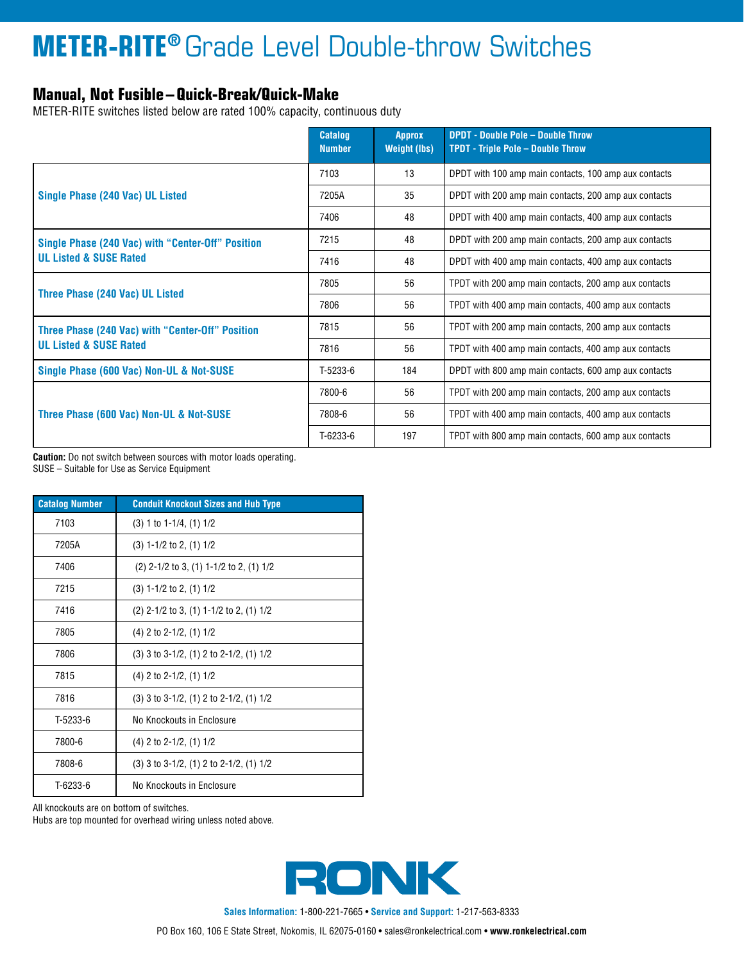## **METER-RITE®** Grade Level Double-throw Switches

### **Manual, Not Fusible–Quick-Break/Quick-Make**

METER-RITE switches listed below are rated 100% capacity, continuous duty

|                                                   | <b>Catalog</b><br><b>Number</b> | <b>Approx</b><br><b>Weight (lbs)</b> | <b>DPDT - Double Pole - Double Throw</b><br><b>TPDT - Triple Pole - Double Throw</b> |
|---------------------------------------------------|---------------------------------|--------------------------------------|--------------------------------------------------------------------------------------|
|                                                   | 7103                            | 13                                   | DPDT with 100 amp main contacts, 100 amp aux contacts                                |
| Single Phase (240 Vac) UL Listed                  | 7205A                           | 35                                   | DPDT with 200 amp main contacts, 200 amp aux contacts                                |
|                                                   | 7406                            | 48                                   | DPDT with 400 amp main contacts, 400 amp aux contacts                                |
| Single Phase (240 Vac) with "Center-Off" Position | 7215                            | 48                                   | DPDT with 200 amp main contacts, 200 amp aux contacts                                |
| <b>UL Listed &amp; SUSE Rated</b>                 | 7416                            | 48                                   | DPDT with 400 amp main contacts, 400 amp aux contacts                                |
|                                                   | 7805                            | 56                                   | TPDT with 200 amp main contacts, 200 amp aux contacts                                |
| Three Phase (240 Vac) UL Listed                   | 7806                            | 56                                   | TPDT with 400 amp main contacts, 400 amp aux contacts                                |
| Three Phase (240 Vac) with "Center-Off" Position  | 7815                            | 56                                   | TPDT with 200 amp main contacts, 200 amp aux contacts                                |
| <b>UL Listed &amp; SUSE Rated</b>                 | 7816                            | 56                                   | TPDT with 400 amp main contacts, 400 amp aux contacts                                |
| Single Phase (600 Vac) Non-UL & Not-SUSE          | T-5233-6                        | 184                                  | DPDT with 800 amp main contacts, 600 amp aux contacts                                |
|                                                   | 7800-6                          | 56                                   | TPDT with 200 amp main contacts, 200 amp aux contacts                                |
| Three Phase (600 Vac) Non-UL & Not-SUSE           | 7808-6                          | 56                                   | TPDT with 400 amp main contacts, 400 amp aux contacts                                |
|                                                   | T-6233-6                        | 197                                  | TPDT with 800 amp main contacts, 600 amp aux contacts                                |

**Caution:** Do not switch between sources with motor loads operating. SUSE – Suitable for Use as Service Equipment

| <b>Catalog Number</b> | <b>Conduit Knockout Sizes and Hub Type</b>    |
|-----------------------|-----------------------------------------------|
| 7103                  | $(3)$ 1 to 1-1/4, $(1)$ 1/2                   |
| 7205A                 | $(3) 1 - 1/2$ to 2, $(1) 1/2$                 |
| 7406                  | $(2)$ 2-1/2 to 3, (1) 1-1/2 to 2, (1) 1/2     |
| 7215                  | $(3) 1 - 1/2$ to 2, $(1) 1/2$                 |
| 7416                  | $(2)$ 2-1/2 to 3, (1) 1-1/2 to 2, (1) 1/2     |
| 7805                  | $(4)$ 2 to 2-1/2, $(1)$ 1/2                   |
| 7806                  | $(3)$ 3 to 3-1/2, $(1)$ 2 to 2-1/2, $(1)$ 1/2 |
| 7815                  | $(4)$ 2 to 2-1/2, $(1)$ 1/2                   |
| 7816                  | $(3)$ 3 to 3-1/2, $(1)$ 2 to 2-1/2, $(1)$ 1/2 |
| T-5233-6              | No Knockouts in Enclosure                     |
| 7800-6                | $(4)$ 2 to 2-1/2, $(1)$ 1/2                   |
| 7808-6                | $(3)$ 3 to 3-1/2, $(1)$ 2 to 2-1/2, $(1)$ 1/2 |
| T-6233-6              | No Knockouts in Enclosure                     |

All knockouts are on bottom of switches.

Hubs are top mounted for overhead wiring unless noted above.



**Sales Information:** 1-800-221-7665 • **Service and Support:** 1-217-563-8333